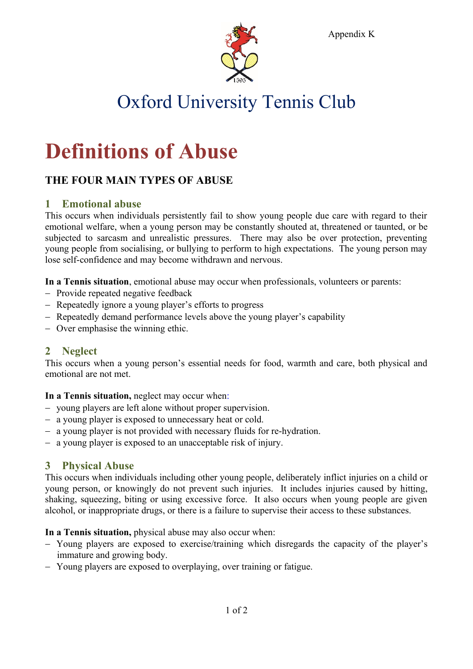

Appendix K

# Oxford University Tennis Club

# **Definitions of Abuse**

# **THE FOUR MAIN TYPES OF ABUSE**

## **1 Emotional abuse**

This occurs when individuals persistently fail to show young people due care with regard to their emotional welfare, when a young person may be constantly shouted at, threatened or taunted, or be subjected to sarcasm and unrealistic pressures. There may also be over protection, preventing young people from socialising, or bullying to perform to high expectations. The young person may lose self-confidence and may become withdrawn and nervous.

**In a Tennis situation**, emotional abuse may occur when professionals, volunteers or parents:

- Provide repeated negative feedback
- Repeatedly ignore a young player's efforts to progress
- Repeatedly demand performance levels above the young player's capability
- Over emphasise the winning ethic.

### **2 Neglect**

This occurs when a young person's essential needs for food, warmth and care, both physical and emotional are not met.

#### **In a Tennis situation,** neglect may occur when:

- young players are left alone without proper supervision.
- a young player is exposed to unnecessary heat or cold.
- a young player is not provided with necessary fluids for re-hydration.
- a young player is exposed to an unacceptable risk of injury.

### **3 Physical Abuse**

This occurs when individuals including other young people, deliberately inflict injuries on a child or young person, or knowingly do not prevent such injuries. It includes injuries caused by hitting, shaking, squeezing, biting or using excessive force. It also occurs when young people are given alcohol, or inappropriate drugs, or there is a failure to supervise their access to these substances.

#### **In a Tennis situation,** physical abuse may also occur when:

- Young players are exposed to exercise/training which disregards the capacity of the player's immature and growing body.
- Young players are exposed to overplaying, over training or fatigue.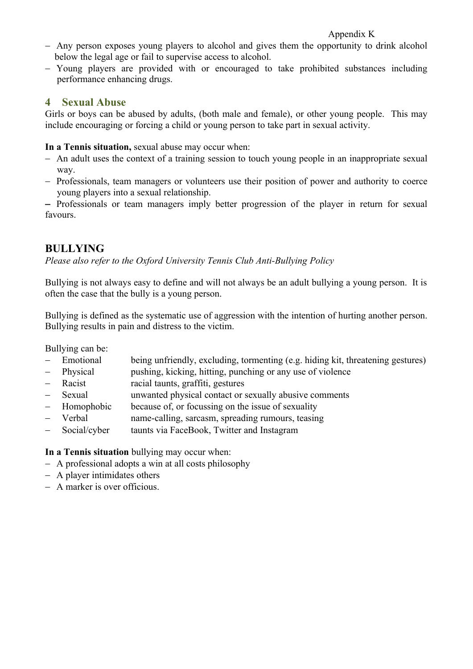#### Appendix K

- Any person exposes young players to alcohol and gives them the opportunity to drink alcohol below the legal age or fail to supervise access to alcohol.
- Young players are provided with or encouraged to take prohibited substances including performance enhancing drugs.

#### **4 Sexual Abuse**

Girls or boys can be abused by adults, (both male and female), or other young people. This may include encouraging or forcing a child or young person to take part in sexual activity.

**In a Tennis situation,** sexual abuse may occur when:

- An adult uses the context of a training session to touch young people in an inappropriate sexual way.
- Professionals, team managers or volunteers use their position of power and authority to coerce young players into a sexual relationship.

- Professionals or team managers imply better progression of the player in return for sexual favours.

# **BULLYING**

*Please also refer to the Oxford University Tennis Club Anti-Bullying Policy*

Bullying is not always easy to define and will not always be an adult bullying a young person. It is often the case that the bully is a young person.

Bullying is defined as the systematic use of aggression with the intention of hurting another person. Bullying results in pain and distress to the victim.

Bullying can be:

- Emotional being unfriendly, excluding, tormenting (e.g. hiding kit, threatening gestures)
- Physical pushing, kicking, hitting, punching or any use of violence
- Racist racial taunts, graffiti, gestures
- Sexual unwanted physical contact or sexually abusive comments
- Homophobic because of, or focussing on the issue of sexuality
- Verbal name-calling, sarcasm, spreading rumours, teasing
- Social/cyber taunts via FaceBook, Twitter and Instagram

**In a Tennis situation** bullying may occur when:

- A professional adopts a win at all costs philosophy
- A player intimidates others
- A marker is over officious.